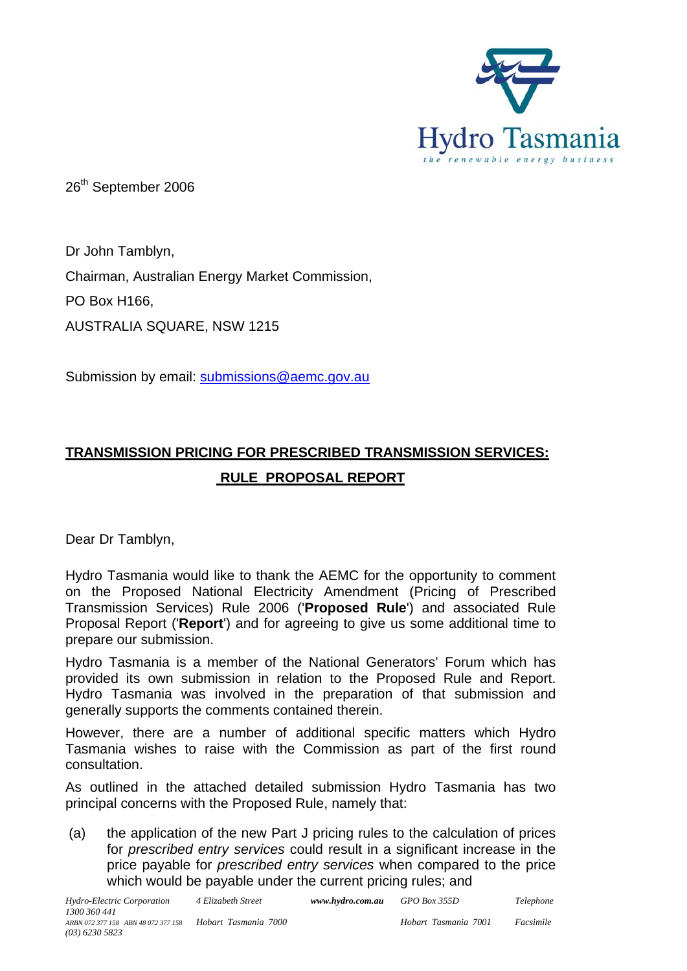

26<sup>th</sup> September 2006

Dr John Tamblyn, Chairman, Australian Energy Market Commission, PO Box H166, AUSTRALIA SQUARE, NSW 1215

Submission by email: [submissions@aemc.gov.au](mailto:submissions@aemc.gov.au)

# **TRANSMISSION PRICING FOR PRESCRIBED TRANSMISSION SERVICES: RULE PROPOSAL REPORT**

Dear Dr Tamblyn,

Hydro Tasmania would like to thank the AEMC for the opportunity to comment on the Proposed National Electricity Amendment (Pricing of Prescribed Transmission Services) Rule 2006 ('**Proposed Rule**') and associated Rule Proposal Report ('**Report**') and for agreeing to give us some additional time to prepare our submission.

Hydro Tasmania is a member of the National Generators' Forum which has provided its own submission in relation to the Proposed Rule and Report. Hydro Tasmania was involved in the preparation of that submission and generally supports the comments contained therein.

However, there are a number of additional specific matters which Hydro Tasmania wishes to raise with the Commission as part of the first round consultation.

As outlined in the attached detailed submission Hydro Tasmania has two principal concerns with the Proposed Rule, namely that:

(a) the application of the new Part J pricing rules to the calculation of prices for *prescribed entry services* could result in a significant increase in the price payable for *prescribed entry services* when compared to the price which would be payable under the current pricing rules; and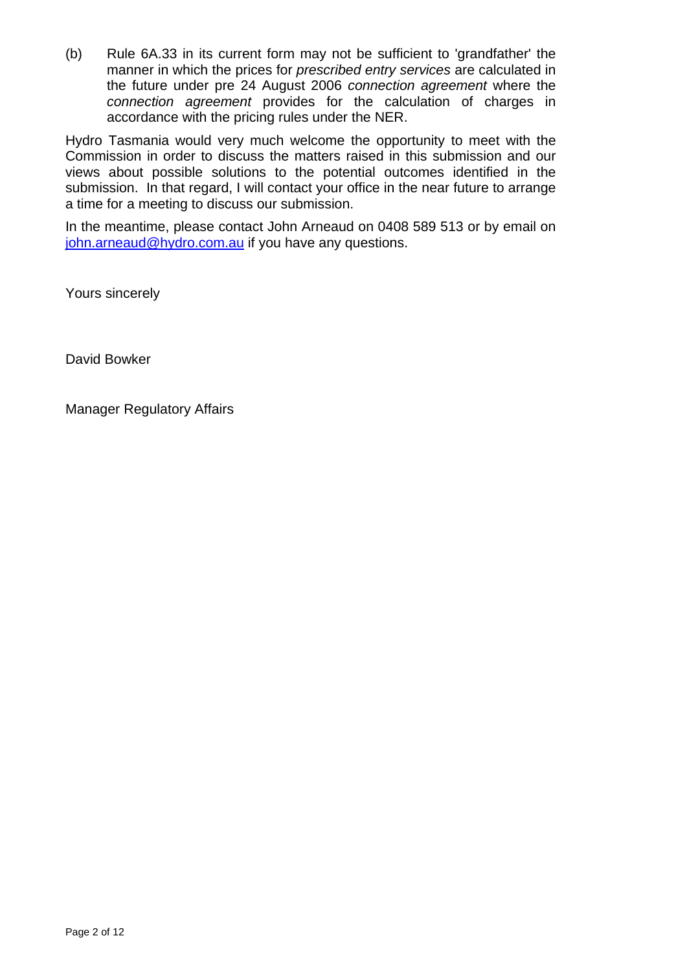(b) Rule 6A.33 in its current form may not be sufficient to 'grandfather' the manner in which the prices for *prescribed entry services* are calculated in the future under pre 24 August 2006 *connection agreement* where the *connection agreement* provides for the calculation of charges in accordance with the pricing rules under the NER.

Hydro Tasmania would very much welcome the opportunity to meet with the Commission in order to discuss the matters raised in this submission and our views about possible solutions to the potential outcomes identified in the submission. In that regard, I will contact your office in the near future to arrange a time for a meeting to discuss our submission.

In the meantime, please contact John Arneaud on 0408 589 513 or by email on [john.arneaud@hydro.com.au](mailto:john.arneaud@hydro.com.au) if you have any questions.

Yours sincerely

David Bowker

Manager Regulatory Affairs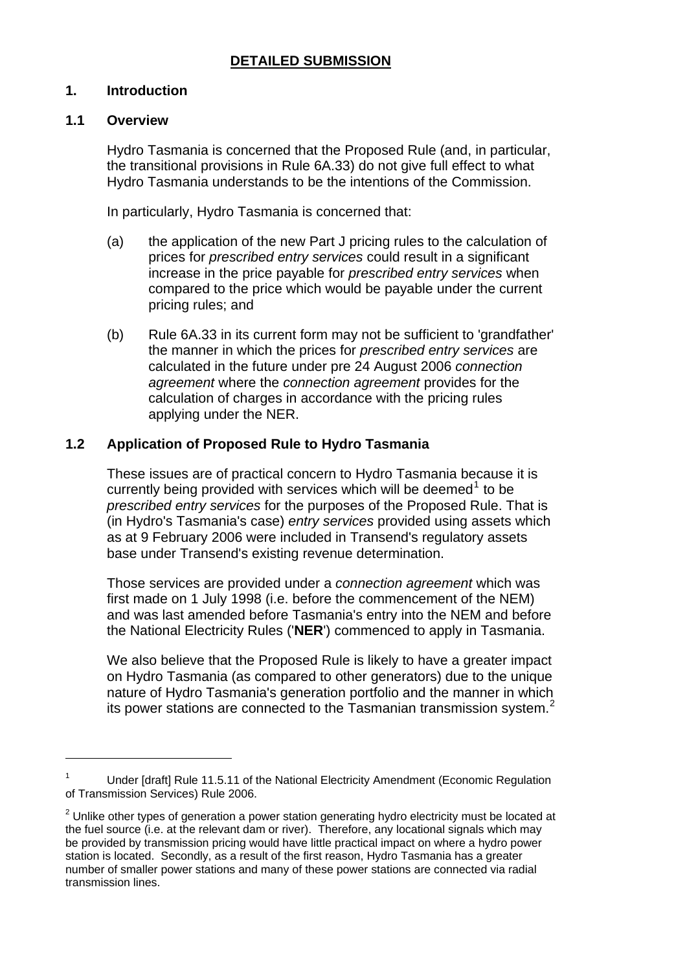#### **DETAILED SUBMISSION**

#### **1. Introduction**

#### **1.1 Overview**

 $\overline{a}$ 

Hydro Tasmania is concerned that the Proposed Rule (and, in particular, the transitional provisions in Rule 6A.33) do not give full effect to what Hydro Tasmania understands to be the intentions of the Commission.

In particularly, Hydro Tasmania is concerned that:

- (a) the application of the new Part J pricing rules to the calculation of prices for *prescribed entry services* could result in a significant increase in the price payable for *prescribed entry services* when compared to the price which would be payable under the current pricing rules; and
- (b) Rule 6A.33 in its current form may not be sufficient to 'grandfather' the manner in which the prices for *prescribed entry services* are calculated in the future under pre 24 August 2006 *connection agreement* where the *connection agreement* provides for the calculation of charges in accordance with the pricing rules applying under the NER.

## **1.2 Application of Proposed Rule to Hydro Tasmania**

These issues are of practical concern to Hydro Tasmania because it is currently being provided with services which will be deemed $<sup>1</sup>$  $<sup>1</sup>$  $<sup>1</sup>$  to be</sup> *prescribed entry services* for the purposes of the Proposed Rule. That is (in Hydro's Tasmania's case) *entry services* provided using assets which as at 9 February 2006 were included in Transend's regulatory assets base under Transend's existing revenue determination.

Those services are provided under a *connection agreement* which was first made on 1 July 1998 (i.e. before the commencement of the NEM) and was last amended before Tasmania's entry into the NEM and before the National Electricity Rules ('**NER**') commenced to apply in Tasmania.

We also believe that the Proposed Rule is likely to have a greater impact on Hydro Tasmania (as compared to other generators) due to the unique nature of Hydro Tasmania's generation portfolio and the manner in which its power stations are connected to the Tasmanian transmission system.<sup>[2](#page-2-1)</sup>

<span id="page-2-0"></span><sup>1</sup> Under [draft] Rule 11.5.11 of the National Electricity Amendment (Economic Regulation of Transmission Services) Rule 2006.

<span id="page-2-1"></span> $2$  Unlike other types of generation a power station generating hydro electricity must be located at the fuel source (i.e. at the relevant dam or river). Therefore, any locational signals which may be provided by transmission pricing would have little practical impact on where a hydro power station is located. Secondly, as a result of the first reason, Hydro Tasmania has a greater number of smaller power stations and many of these power stations are connected via radial transmission lines.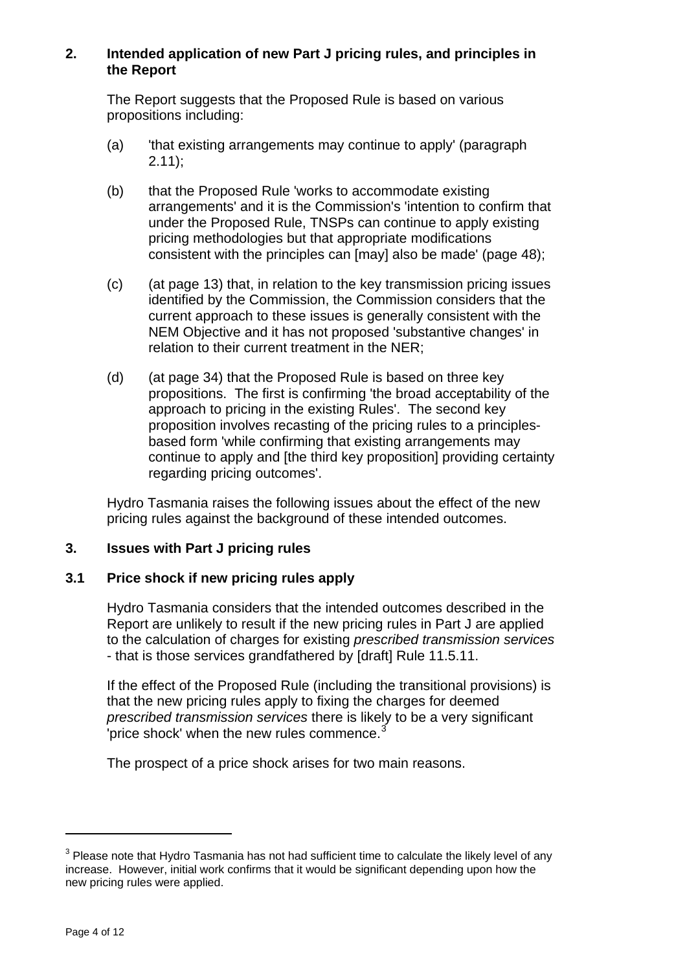## **2. Intended application of new Part J pricing rules, and principles in the Report**

The Report suggests that the Proposed Rule is based on various propositions including:

- (a) 'that existing arrangements may continue to apply' (paragraph 2.11);
- (b) that the Proposed Rule 'works to accommodate existing arrangements' and it is the Commission's 'intention to confirm that under the Proposed Rule, TNSPs can continue to apply existing pricing methodologies but that appropriate modifications consistent with the principles can [may] also be made' (page 48);
- (c) (at page 13) that, in relation to the key transmission pricing issues identified by the Commission, the Commission considers that the current approach to these issues is generally consistent with the NEM Objective and it has not proposed 'substantive changes' in relation to their current treatment in the NER;
- (d) (at page 34) that the Proposed Rule is based on three key propositions. The first is confirming 'the broad acceptability of the approach to pricing in the existing Rules'. The second key proposition involves recasting of the pricing rules to a principlesbased form 'while confirming that existing arrangements may continue to apply and [the third key proposition] providing certainty regarding pricing outcomes'.

Hydro Tasmania raises the following issues about the effect of the new pricing rules against the background of these intended outcomes.

## **3. Issues with Part J pricing rules**

## **3.1 Price shock if new pricing rules apply**

Hydro Tasmania considers that the intended outcomes described in the Report are unlikely to result if the new pricing rules in Part J are applied to the calculation of charges for existing *prescribed transmission services* - that is those services grandfathered by [draft] Rule 11.5.11.

If the effect of the Proposed Rule (including the transitional provisions) is that the new pricing rules apply to fixing the charges for deemed *prescribed transmission services* there is likely to be a very significant 'price shock' when the new rules commence. $\dot{3}$  $\dot{3}$  $\dot{3}$ 

The prospect of a price shock arises for two main reasons.

 $\overline{a}$ 

<span id="page-3-0"></span> $3$  Please note that Hydro Tasmania has not had sufficient time to calculate the likely level of any increase. However, initial work confirms that it would be significant depending upon how the new pricing rules were applied.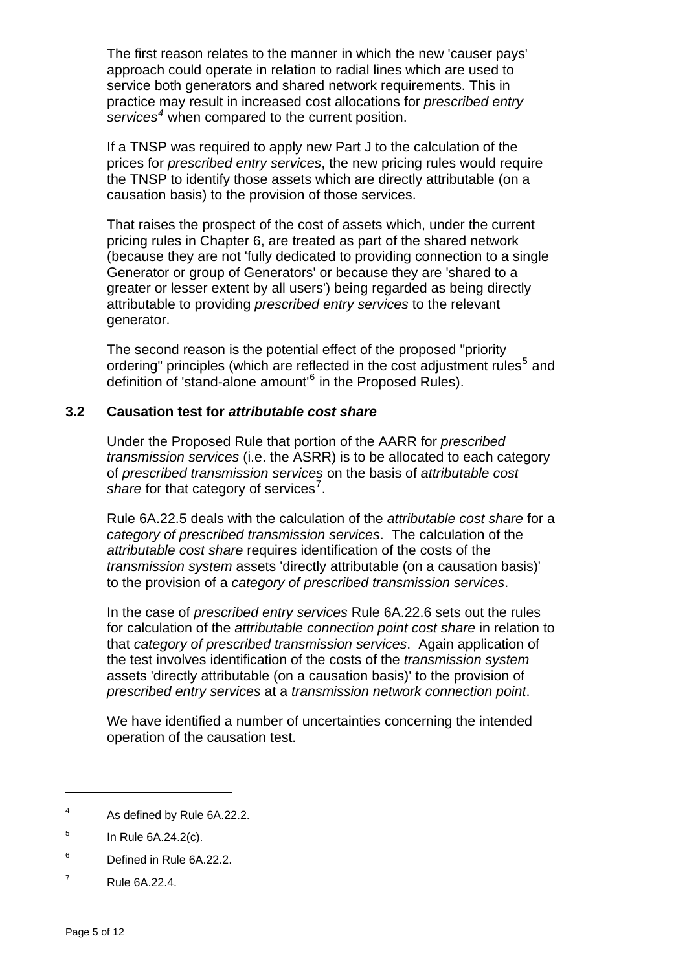The first reason relates to the manner in which the new 'causer pays' approach could operate in relation to radial lines which are used to service both generators and shared network requirements. This in practice may result in increased cost allocations for *prescribed entry services[4](#page-4-0)* when compared to the current position.

If a TNSP was required to apply new Part J to the calculation of the prices for *prescribed entry services*, the new pricing rules would require the TNSP to identify those assets which are directly attributable (on a causation basis) to the provision of those services.

That raises the prospect of the cost of assets which, under the current pricing rules in Chapter 6, are treated as part of the shared network (because they are not 'fully dedicated to providing connection to a single Generator or group of Generators' or because they are 'shared to a greater or lesser extent by all users') being regarded as being directly attributable to providing *prescribed entry services* to the relevant generator.

The second reason is the potential effect of the proposed "priority ordering" principles (which are reflected in the cost adjustment rules<sup>[5](#page-4-1)</sup> and definition of 'stand-alone amount'<sup>[6](#page-4-2)</sup> in the Proposed Rules).

## **3.2 Causation test for** *attributable cost share*

Under the Proposed Rule that portion of the AARR for *prescribed transmission services* (i.e. the ASRR) is to be allocated to each category of *prescribed transmission services* on the basis of *attributable cost*  share for that category of services<sup>[7](#page-4-3)</sup>.

Rule 6A.22.5 deals with the calculation of the *attributable cost share* for a *category of prescribed transmission services*. The calculation of the *attributable cost share* requires identification of the costs of the *transmission system* assets 'directly attributable (on a causation basis)' to the provision of a *category of prescribed transmission services*.

In the case of *prescribed entry services* Rule 6A.22.6 sets out the rules for calculation of the *attributable connection point cost share* in relation to that *category of prescribed transmission services*. Again application of the test involves identification of the costs of the *transmission system*  assets 'directly attributable (on a causation basis)' to the provision of *prescribed entry services* at a *transmission network connection point*.

We have identified a number of uncertainties concerning the intended operation of the causation test.

 $\overline{a}$ 

<span id="page-4-0"></span><sup>4</sup> As defined by Rule 6A.22.2.

<span id="page-4-1"></span><sup>5</sup> In Rule 6A.24.2(c).

<span id="page-4-2"></span><sup>6</sup> Defined in Rule 6A.22.2.

<span id="page-4-3"></span><sup>7</sup> Rule 6A.22.4.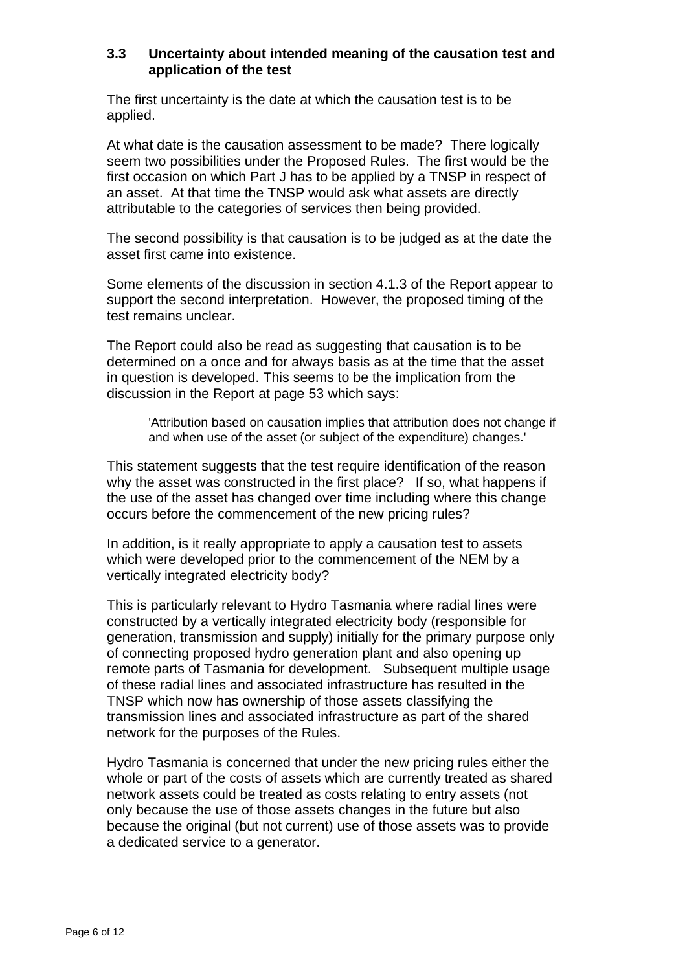## **3.3 Uncertainty about intended meaning of the causation test and application of the test**

The first uncertainty is the date at which the causation test is to be applied.

At what date is the causation assessment to be made? There logically seem two possibilities under the Proposed Rules. The first would be the first occasion on which Part J has to be applied by a TNSP in respect of an asset. At that time the TNSP would ask what assets are directly attributable to the categories of services then being provided.

The second possibility is that causation is to be judged as at the date the asset first came into existence.

Some elements of the discussion in section 4.1.3 of the Report appear to support the second interpretation. However, the proposed timing of the test remains unclear.

The Report could also be read as suggesting that causation is to be determined on a once and for always basis as at the time that the asset in question is developed. This seems to be the implication from the discussion in the Report at page 53 which says:

'Attribution based on causation implies that attribution does not change if and when use of the asset (or subject of the expenditure) changes.'

This statement suggests that the test require identification of the reason why the asset was constructed in the first place? If so, what happens if the use of the asset has changed over time including where this change occurs before the commencement of the new pricing rules?

In addition, is it really appropriate to apply a causation test to assets which were developed prior to the commencement of the NEM by a vertically integrated electricity body?

This is particularly relevant to Hydro Tasmania where radial lines were constructed by a vertically integrated electricity body (responsible for generation, transmission and supply) initially for the primary purpose only of connecting proposed hydro generation plant and also opening up remote parts of Tasmania for development. Subsequent multiple usage of these radial lines and associated infrastructure has resulted in the TNSP which now has ownership of those assets classifying the transmission lines and associated infrastructure as part of the shared network for the purposes of the Rules.

Hydro Tasmania is concerned that under the new pricing rules either the whole or part of the costs of assets which are currently treated as shared network assets could be treated as costs relating to entry assets (not only because the use of those assets changes in the future but also because the original (but not current) use of those assets was to provide a dedicated service to a generator.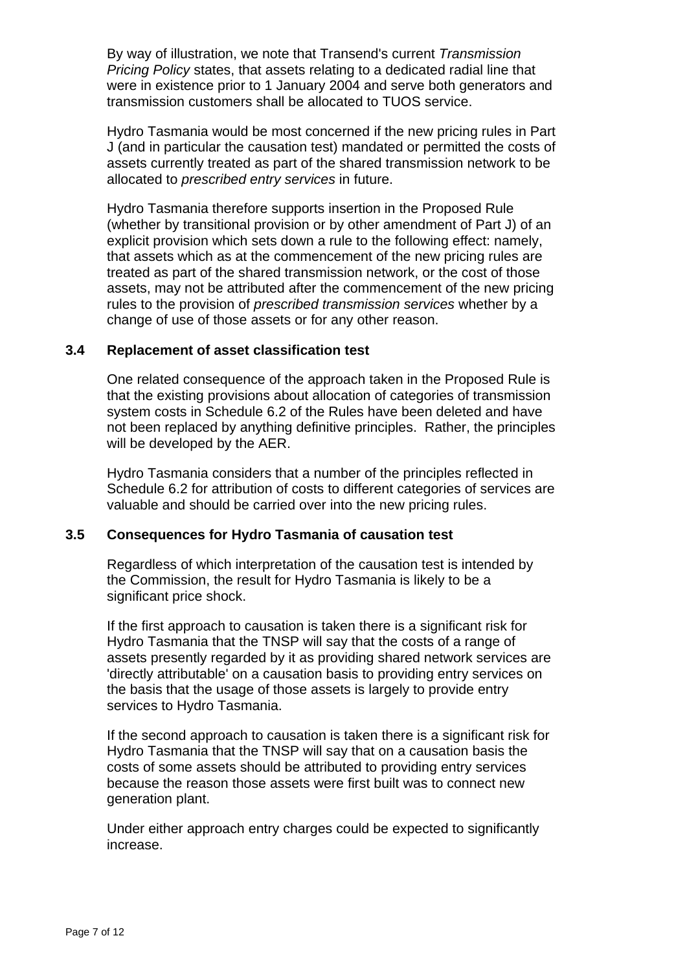By way of illustration, we note that Transend's current *Transmission Pricing Policy* states, that assets relating to a dedicated radial line that were in existence prior to 1 January 2004 and serve both generators and transmission customers shall be allocated to TUOS service.

Hydro Tasmania would be most concerned if the new pricing rules in Part J (and in particular the causation test) mandated or permitted the costs of assets currently treated as part of the shared transmission network to be allocated to *prescribed entry services* in future.

Hydro Tasmania therefore supports insertion in the Proposed Rule (whether by transitional provision or by other amendment of Part J) of an explicit provision which sets down a rule to the following effect: namely, that assets which as at the commencement of the new pricing rules are treated as part of the shared transmission network, or the cost of those assets, may not be attributed after the commencement of the new pricing rules to the provision of *prescribed transmission services* whether by a change of use of those assets or for any other reason.

#### **3.4 Replacement of asset classification test**

One related consequence of the approach taken in the Proposed Rule is that the existing provisions about allocation of categories of transmission system costs in Schedule 6.2 of the Rules have been deleted and have not been replaced by anything definitive principles. Rather, the principles will be developed by the AER.

Hydro Tasmania considers that a number of the principles reflected in Schedule 6.2 for attribution of costs to different categories of services are valuable and should be carried over into the new pricing rules.

## **3.5 Consequences for Hydro Tasmania of causation test**

Regardless of which interpretation of the causation test is intended by the Commission, the result for Hydro Tasmania is likely to be a significant price shock.

If the first approach to causation is taken there is a significant risk for Hydro Tasmania that the TNSP will say that the costs of a range of assets presently regarded by it as providing shared network services are 'directly attributable' on a causation basis to providing entry services on the basis that the usage of those assets is largely to provide entry services to Hydro Tasmania.

If the second approach to causation is taken there is a significant risk for Hydro Tasmania that the TNSP will say that on a causation basis the costs of some assets should be attributed to providing entry services because the reason those assets were first built was to connect new generation plant.

Under either approach entry charges could be expected to significantly increase.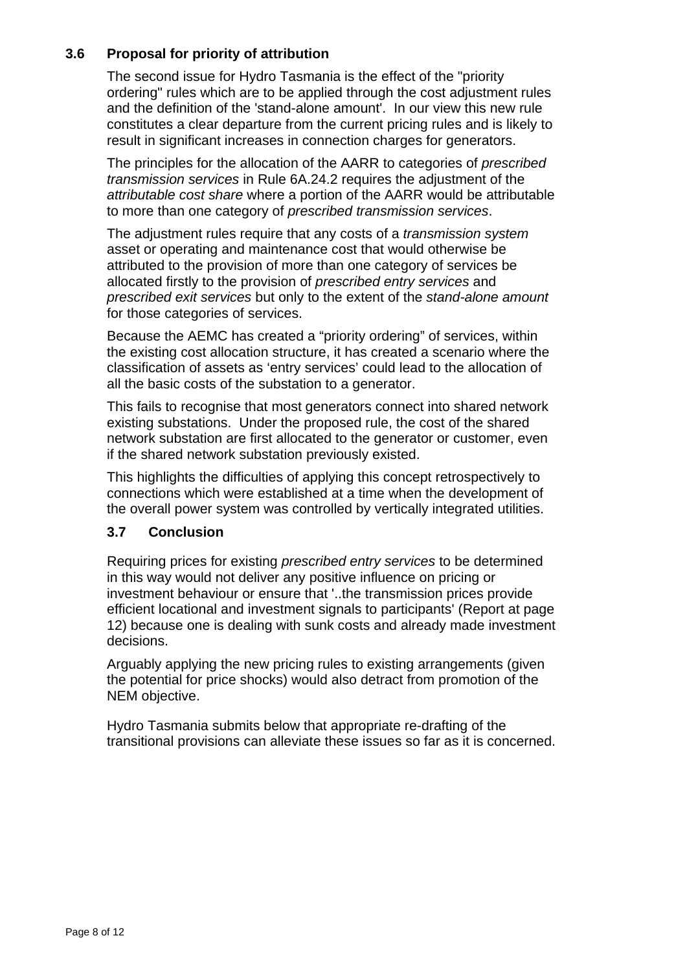## **3.6 Proposal for priority of attribution**

The second issue for Hydro Tasmania is the effect of the "priority ordering" rules which are to be applied through the cost adjustment rules and the definition of the 'stand-alone amount'. In our view this new rule constitutes a clear departure from the current pricing rules and is likely to result in significant increases in connection charges for generators.

The principles for the allocation of the AARR to categories of *prescribed transmission services* in Rule 6A.24.2 requires the adjustment of the *attributable cost share* where a portion of the AARR would be attributable to more than one category of *prescribed transmission services*.

The adjustment rules require that any costs of a *transmission system*  asset or operating and maintenance cost that would otherwise be attributed to the provision of more than one category of services be allocated firstly to the provision of *prescribed entry services* and *prescribed exit services* but only to the extent of the *stand-alone amount*  for those categories of services.

Because the AEMC has created a "priority ordering" of services, within the existing cost allocation structure, it has created a scenario where the classification of assets as 'entry services' could lead to the allocation of all the basic costs of the substation to a generator.

This fails to recognise that most generators connect into shared network existing substations. Under the proposed rule, the cost of the shared network substation are first allocated to the generator or customer, even if the shared network substation previously existed.

This highlights the difficulties of applying this concept retrospectively to connections which were established at a time when the development of the overall power system was controlled by vertically integrated utilities.

## **3.7 Conclusion**

Requiring prices for existing *prescribed entry services* to be determined in this way would not deliver any positive influence on pricing or investment behaviour or ensure that '..the transmission prices provide efficient locational and investment signals to participants' (Report at page 12) because one is dealing with sunk costs and already made investment decisions.

Arguably applying the new pricing rules to existing arrangements (given the potential for price shocks) would also detract from promotion of the NEM objective.

Hydro Tasmania submits below that appropriate re-drafting of the transitional provisions can alleviate these issues so far as it is concerned.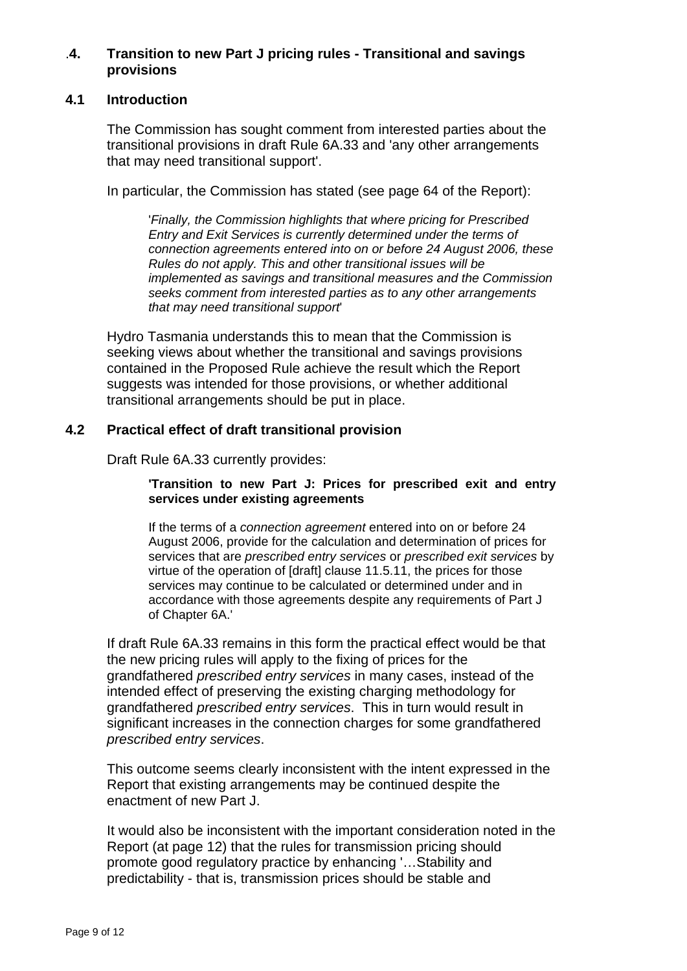#### .**4. Transition to new Part J pricing rules - Transitional and savings provisions**

## **4.1 Introduction**

The Commission has sought comment from interested parties about the transitional provisions in draft Rule 6A.33 and 'any other arrangements that may need transitional support'.

In particular, the Commission has stated (see page 64 of the Report):

'*Finally, the Commission highlights that where pricing for Prescribed Entry and Exit Services is currently determined under the terms of connection agreements entered into on or before 24 August 2006, these Rules do not apply. This and other transitional issues will be implemented as savings and transitional measures and the Commission seeks comment from interested parties as to any other arrangements that may need transitional support*'

Hydro Tasmania understands this to mean that the Commission is seeking views about whether the transitional and savings provisions contained in the Proposed Rule achieve the result which the Report suggests was intended for those provisions, or whether additional transitional arrangements should be put in place.

## **4.2 Practical effect of draft transitional provision**

Draft Rule 6A.33 currently provides:

#### **'Transition to new Part J: Prices for prescribed exit and entry services under existing agreements**

If the terms of a *connection agreement* entered into on or before 24 August 2006, provide for the calculation and determination of prices for services that are *prescribed entry services* or *prescribed exit services* by virtue of the operation of [draft] clause 11.5.11, the prices for those services may continue to be calculated or determined under and in accordance with those agreements despite any requirements of Part J of Chapter 6A.'

If draft Rule 6A.33 remains in this form the practical effect would be that the new pricing rules will apply to the fixing of prices for the grandfathered *prescribed entry services* in many cases, instead of the intended effect of preserving the existing charging methodology for grandfathered *prescribed entry services*. This in turn would result in significant increases in the connection charges for some grandfathered *prescribed entry services*.

This outcome seems clearly inconsistent with the intent expressed in the Report that existing arrangements may be continued despite the enactment of new Part J.

It would also be inconsistent with the important consideration noted in the Report (at page 12) that the rules for transmission pricing should promote good regulatory practice by enhancing '…Stability and predictability - that is, transmission prices should be stable and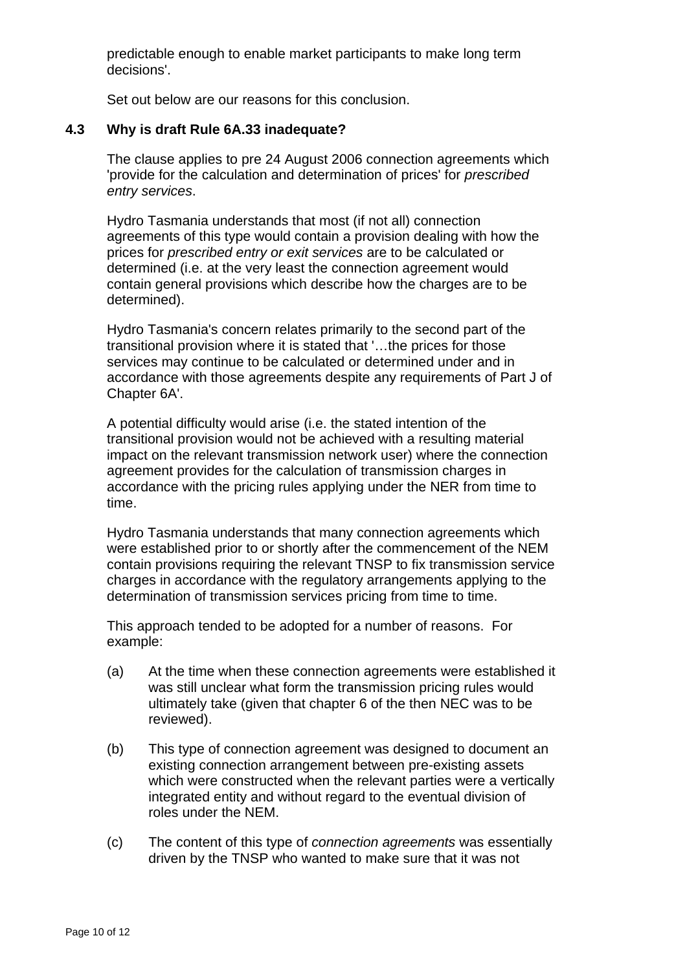predictable enough to enable market participants to make long term decisions'.

Set out below are our reasons for this conclusion.

#### **4.3 Why is draft Rule 6A.33 inadequate?**

The clause applies to pre 24 August 2006 connection agreements which 'provide for the calculation and determination of prices' for *prescribed entry services*.

Hydro Tasmania understands that most (if not all) connection agreements of this type would contain a provision dealing with how the prices for *prescribed entry or exit services* are to be calculated or determined (i.e. at the very least the connection agreement would contain general provisions which describe how the charges are to be determined).

Hydro Tasmania's concern relates primarily to the second part of the transitional provision where it is stated that '…the prices for those services may continue to be calculated or determined under and in accordance with those agreements despite any requirements of Part J of Chapter 6A'.

A potential difficulty would arise (i.e. the stated intention of the transitional provision would not be achieved with a resulting material impact on the relevant transmission network user) where the connection agreement provides for the calculation of transmission charges in accordance with the pricing rules applying under the NER from time to time.

Hydro Tasmania understands that many connection agreements which were established prior to or shortly after the commencement of the NEM contain provisions requiring the relevant TNSP to fix transmission service charges in accordance with the regulatory arrangements applying to the determination of transmission services pricing from time to time.

This approach tended to be adopted for a number of reasons. For example:

- (a) At the time when these connection agreements were established it was still unclear what form the transmission pricing rules would ultimately take (given that chapter 6 of the then NEC was to be reviewed).
- (b) This type of connection agreement was designed to document an existing connection arrangement between pre-existing assets which were constructed when the relevant parties were a vertically integrated entity and without regard to the eventual division of roles under the NEM.
- (c) The content of this type of *connection agreements* was essentially driven by the TNSP who wanted to make sure that it was not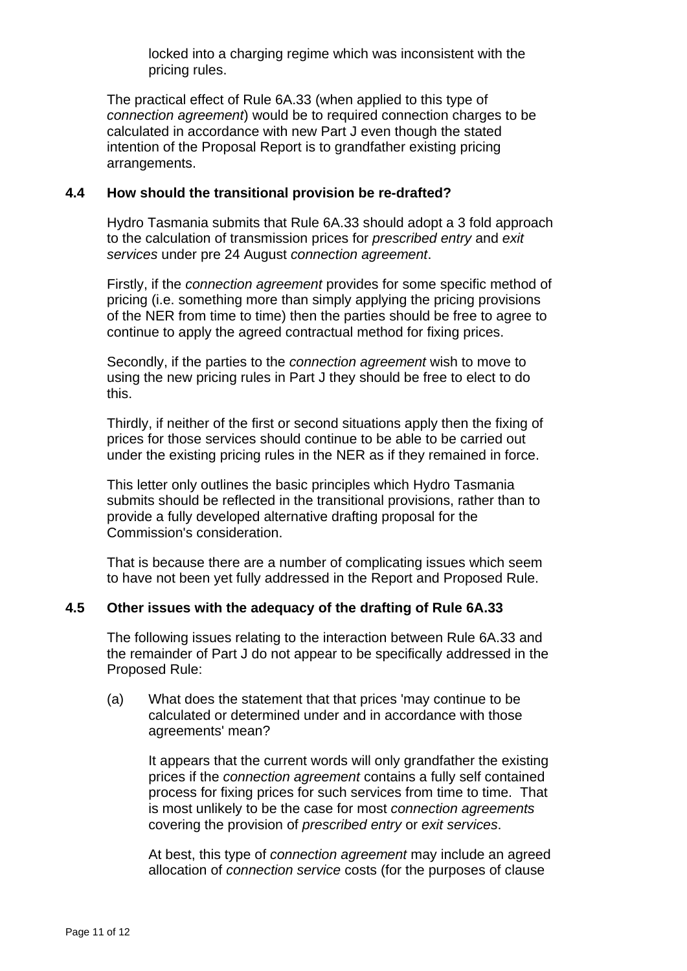locked into a charging regime which was inconsistent with the pricing rules.

The practical effect of Rule 6A.33 (when applied to this type of *connection agreement*) would be to required connection charges to be calculated in accordance with new Part J even though the stated intention of the Proposal Report is to grandfather existing pricing arrangements.

#### **4.4 How should the transitional provision be re-drafted?**

Hydro Tasmania submits that Rule 6A.33 should adopt a 3 fold approach to the calculation of transmission prices for *prescribed entry* and *exit services* under pre 24 August *connection agreement*.

Firstly, if the *connection agreement* provides for some specific method of pricing (i.e. something more than simply applying the pricing provisions of the NER from time to time) then the parties should be free to agree to continue to apply the agreed contractual method for fixing prices.

Secondly, if the parties to the *connection agreement* wish to move to using the new pricing rules in Part J they should be free to elect to do this.

Thirdly, if neither of the first or second situations apply then the fixing of prices for those services should continue to be able to be carried out under the existing pricing rules in the NER as if they remained in force.

This letter only outlines the basic principles which Hydro Tasmania submits should be reflected in the transitional provisions, rather than to provide a fully developed alternative drafting proposal for the Commission's consideration.

That is because there are a number of complicating issues which seem to have not been yet fully addressed in the Report and Proposed Rule.

## **4.5 Other issues with the adequacy of the drafting of Rule 6A.33**

The following issues relating to the interaction between Rule 6A.33 and the remainder of Part J do not appear to be specifically addressed in the Proposed Rule:

(a) What does the statement that that prices 'may continue to be calculated or determined under and in accordance with those agreements' mean?

It appears that the current words will only grandfather the existing prices if the *connection agreement* contains a fully self contained process for fixing prices for such services from time to time. That is most unlikely to be the case for most *connection agreements* covering the provision of *prescribed entry* or *exit services*.

At best, this type of *connection agreement* may include an agreed allocation of *connection service* costs (for the purposes of clause